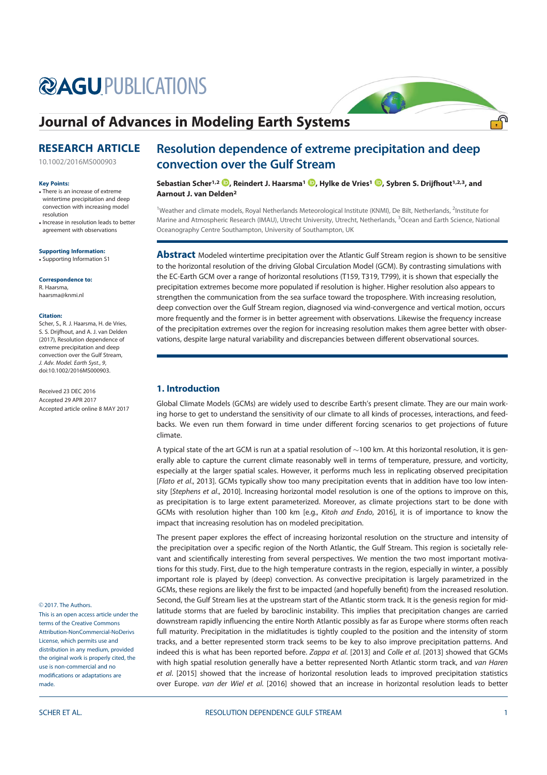# **@AGU PUBLICATIONS**

### Journal of Advances in Modeling Earth Systems

### RESEARCH ARTICLE

10.1002/2016MS000903

#### Key Points:

- . There is an increase of extreme wintertime precipitation and deep convection with increasing model resolution
- " Increase in resolution leads to better agreement with observations

#### Supporting Information:

" Supporting Information S1

Correspondence to:

R. Haarsma, haarsma@knmi.nl

#### Citation:

Scher, S., R. J. Haarsma, H. de Vries, S. S. Drijfhout, and A. J. van Delden (2017), Resolution dependence of extreme precipitation and deep convection over the Gulf Stream, J. Adv. Model. Earth Syst., 9, doi:10.1002/2016MS000903.

Received 23 DEC 2016 Accepted 29 APR 2017 Accepted article online 8 MAY 2017

#### © 2017. The Authors

This is an open access article under the terms of the Creative Commons Attribution-NonCommercial-NoDerivs License, which permits use and distribution in any medium, provided the original work is properly cited, the use is non-commercial and no modifications or adaptations are made.

### Resolution dependence of extreme precipitation and deep convection over the Gulf Stream

#### Sebastian Scher<sup>1,2</sup> <sup>(D</sup>, Reindert J. Haarsma<sup>1</sup> <sup>(D</sup>, Hylke de Vries<sup>1</sup> <sup>(D</sup>, Sybren S. Drijfhout<sup>1,2,3</sup>, and Aarnout J. van Delden2

<sup>1</sup>Weather and climate models, Royal Netherlands Meteorological Institute (KNMI), De Bilt, Netherlands, <sup>2</sup>Institute for Marine and Atmospheric Research (IMAU), Utrecht University, Utrecht, Netherlands, <sup>3</sup>Ocean and Earth Science, National Oceanography Centre Southampton, University of Southampton, UK

Abstract Modeled wintertime precipitation over the Atlantic Gulf Stream region is shown to be sensitive to the horizontal resolution of the driving Global Circulation Model (GCM). By contrasting simulations with the EC-Earth GCM over a range of horizontal resolutions (T159, T319, T799), it is shown that especially the precipitation extremes become more populated if resolution is higher. Higher resolution also appears to strengthen the communication from the sea surface toward the troposphere. With increasing resolution, deep convection over the Gulf Stream region, diagnosed via wind-convergence and vertical motion, occurs more frequently and the former is in better agreement with observations. Likewise the frequency increase of the precipitation extremes over the region for increasing resolution makes them agree better with observations, despite large natural variability and discrepancies between different observational sources.

### 1. Introduction

Global Climate Models (GCMs) are widely used to describe Earth's present climate. They are our main working horse to get to understand the sensitivity of our climate to all kinds of processes, interactions, and feedbacks. We even run them forward in time under different forcing scenarios to get projections of future climate.

A typical state of the art GCM is run at a spatial resolution of  $\sim$ 100 km. At this horizontal resolution, it is generally able to capture the current climate reasonably well in terms of temperature, pressure, and vorticity, especially at the larger spatial scales. However, it performs much less in replicating observed precipitation [Flato et al., 2013]. GCMs typically show too many precipitation events that in addition have too low intensity [Stephens et al., 2010]. Increasing horizontal model resolution is one of the options to improve on this, as precipitation is to large extent parameterized. Moreover, as climate projections start to be done with GCMs with resolution higher than 100 km [e.g., Kitoh and Endo, 2016], it is of importance to know the impact that increasing resolution has on modeled precipitation.

The present paper explores the effect of increasing horizontal resolution on the structure and intensity of the precipitation over a specific region of the North Atlantic, the Gulf Stream. This region is societally relevant and scientifically interesting from several perspectives. We mention the two most important motivations for this study. First, due to the high temperature contrasts in the region, especially in winter, a possibly important role is played by (deep) convection. As convective precipitation is largely parametrized in the GCMs, these regions are likely the first to be impacted (and hopefully benefit) from the increased resolution. Second, the Gulf Stream lies at the upstream start of the Atlantic storm track. It is the genesis region for midlatitude storms that are fueled by baroclinic instability. This implies that precipitation changes are carried downstream rapidly influencing the entire North Atlantic possibly as far as Europe where storms often reach full maturity. Precipitation in the midlatitudes is tightly coupled to the position and the intensity of storm tracks, and a better represented storm track seems to be key to also improve precipitation patterns. And indeed this is what has been reported before. Zappa et al. [2013] and Colle et al. [2013] showed that GCMs with high spatial resolution generally have a better represented North Atlantic storm track, and van Haren et al. [2015] showed that the increase of horizontal resolution leads to improved precipitation statistics over Europe. van der Wiel et al. [2016] showed that an increase in horizontal resolution leads to better

ட்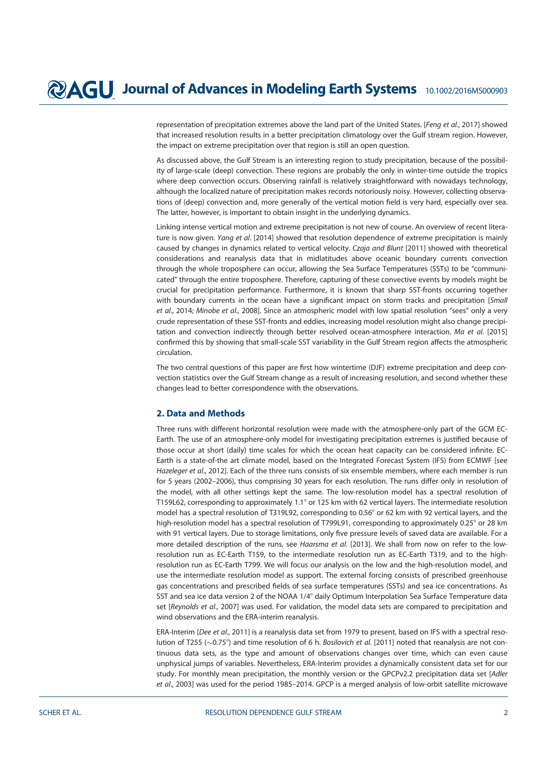representation of precipitation extremes above the land part of the United States. [Feng et al., 2017] showed that increased resolution results in a better precipitation climatology over the Gulf stream region. However, the impact on extreme precipitation over that region is still an open question.

As discussed above, the Gulf Stream is an interesting region to study precipitation, because of the possibility of large-scale (deep) convection. These regions are probably the only in winter-time outside the tropics where deep convection occurs. Observing rainfall is relatively straightforward with nowadays technology, although the localized nature of precipitation makes records notoriously noisy. However, collecting observations of (deep) convection and, more generally of the vertical motion field is very hard, especially over sea. The latter, however, is important to obtain insight in the underlying dynamics.

Linking intense vertical motion and extreme precipitation is not new of course. An overview of recent literature is now given. Yang et al. [2014] showed that resolution dependence of extreme precipitation is mainly caused by changes in dynamics related to vertical velocity. Czaja and Blunt [2011] showed with theoretical considerations and reanalysis data that in midlatitudes above oceanic boundary currents convection through the whole troposphere can occur, allowing the Sea Surface Temperatures (SSTs) to be ''communicated'' through the entire troposphere. Therefore, capturing of these convective events by models might be crucial for precipitation performance. Furthermore, it is known that sharp SST-fronts occurring together with boundary currents in the ocean have a significant impact on storm tracks and precipitation [Small et al., 2014; Minobe et al., 2008]. Since an atmospheric model with low spatial resolution "sees" only a very crude representation of these SST-fronts and eddies, increasing model resolution might also change precipitation and convection indirectly through better resolved ocean-atmosphere interaction. Ma et al. [2015] confirmed this by showing that small-scale SST variability in the Gulf Stream region affects the atmospheric circulation.

The two central questions of this paper are first how wintertime (DJF) extreme precipitation and deep convection statistics over the Gulf Stream change as a result of increasing resolution, and second whether these changes lead to better correspondence with the observations.

#### 2. Data and Methods

Three runs with different horizontal resolution were made with the atmosphere-only part of the GCM EC-Earth. The use of an atmosphere-only model for investigating precipitation extremes is justified because of those occur at short (daily) time scales for which the ocean heat capacity can be considered infinite. EC-Earth is a state-of-the art climate model, based on the Integrated Forecast System (IFS) from ECMWF [see Hazeleger et al., 2012]. Each of the three runs consists of six ensemble members, where each member is run for 5 years (2002–2006), thus comprising 30 years for each resolution. The runs differ only in resolution of the model, with all other settings kept the same. The low-resolution model has a spectral resolution of T159L62, corresponding to approximately 1.1° or 125 km with 62 vertical layers. The intermediate resolution model has a spectral resolution of T319L92, corresponding to 0.56° or 62 km with 92 vertical layers, and the high-resolution model has a spectral resolution of T799L91, corresponding to approximately 0.25° or 28 km with 91 vertical layers. Due to storage limitations, only five pressure levels of saved data are available. For a more detailed description of the runs, see Haarsma et al. [2013]. We shall from now on refer to the lowresolution run as EC-Earth T159, to the intermediate resolution run as EC-Earth T319, and to the highresolution run as EC-Earth T799. We will focus our analysis on the low and the high-resolution model, and use the intermediate resolution model as support. The external forcing consists of prescribed greenhouse gas concentrations and prescribed fields of sea surface temperatures (SSTs) and sea ice concentrations. As SST and sea ice data version 2 of the NOAA 1/4° daily Optimum Interpolation Sea Surface Temperature data set [Reynolds et al., 2007] was used. For validation, the model data sets are compared to precipitation and wind observations and the ERA-interim reanalysis.

ERA-Interim [Dee et al., 2011] is a reanalysis data set from 1979 to present, based on IFS with a spectral resolution of T255 ( $\sim$ 0.75°) and time resolution of 6 h. Bosilovich et al. [2011] noted that reanalysis are not continuous data sets, as the type and amount of observations changes over time, which can even cause unphysical jumps of variables. Nevertheless, ERA-Interim provides a dynamically consistent data set for our study. For monthly mean precipitation, the monthly version or the GPCPv2.2 precipitation data set [Adler et al., 2003] was used for the period 1985-2014. GPCP is a merged analysis of low-orbit satellite microwave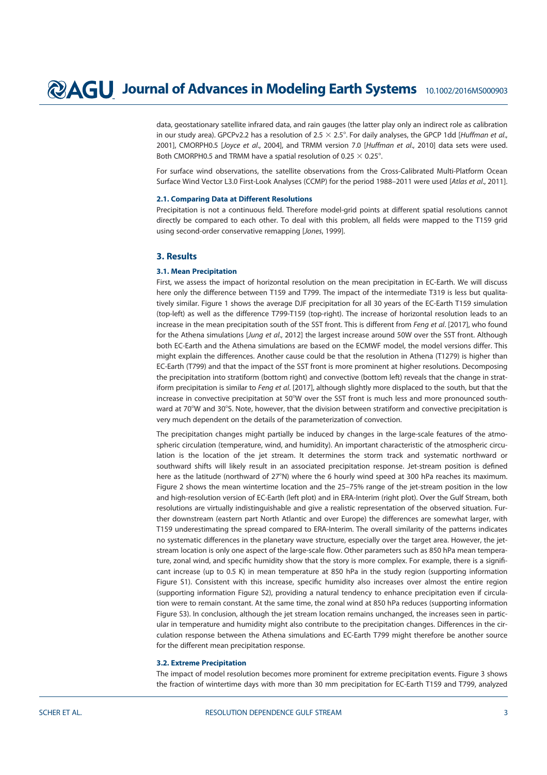data, geostationary satellite infrared data, and rain gauges (the latter play only an indirect role as calibration in our study area). GPCPv2.2 has a resolution of  $2.5 \times 2.5^\circ$ . For daily analyses, the GPCP 1dd [Huffman et al., 2001], CMORPH0.5 [Joyce et al., 2004], and TRMM version 7.0 [Huffman et al., 2010] data sets were used. Both CMORPH0.5 and TRMM have a spatial resolution of 0.25  $\times$  0.25 $^{\circ}$ .

For surface wind observations, the satellite observations from the Cross-Calibrated Multi-Platform Ocean Surface Wind Vector L3.0 First-Look Analyses (CCMP) for the period 1988–2011 were used [Atlas et al., 2011].

#### 2.1. Comparing Data at Different Resolutions

Precipitation is not a continuous field. Therefore model-grid points at different spatial resolutions cannot directly be compared to each other. To deal with this problem, all fields were mapped to the T159 grid using second-order conservative remapping [Jones, 1999].

#### 3. Results

#### 3.1. Mean Precipitation

First, we assess the impact of horizontal resolution on the mean precipitation in EC-Earth. We will discuss here only the difference between T159 and T799. The impact of the intermediate T319 is less but qualitatively similar. Figure 1 shows the average DJF precipitation for all 30 years of the EC-Earth T159 simulation (top-left) as well as the difference T799-T159 (top-right). The increase of horizontal resolution leads to an increase in the mean precipitation south of the SST front. This is different from Feng et al. [2017], who found for the Athena simulations [Jung et al., 2012] the largest increase around 50W over the SST front. Although both EC-Earth and the Athena simulations are based on the ECMWF model, the model versions differ. This might explain the differences. Another cause could be that the resolution in Athena (T1279) is higher than EC-Earth (T799) and that the impact of the SST front is more prominent at higher resolutions. Decomposing the precipitation into stratiform (bottom right) and convective (bottom left) reveals that the change in stratiform precipitation is similar to Feng et al. [2017], although slightly more displaced to the south, but that the increase in convective precipitation at 50°W over the SST front is much less and more pronounced southward at 70°W and 30°S. Note, however, that the division between stratiform and convective precipitation is very much dependent on the details of the parameterization of convection.

The precipitation changes might partially be induced by changes in the large-scale features of the atmospheric circulation (temperature, wind, and humidity). An important characteristic of the atmospheric circulation is the location of the jet stream. It determines the storm track and systematic northward or southward shifts will likely result in an associated precipitation response. Jet-stream position is defined here as the latitude (northward of 27°N) where the 6 hourly wind speed at 300 hPa reaches its maximum. Figure 2 shows the mean wintertime location and the 25-75% range of the jet-stream position in the low and high-resolution version of EC-Earth (left plot) and in ERA-Interim (right plot). Over the Gulf Stream, both resolutions are virtually indistinguishable and give a realistic representation of the observed situation. Further downstream (eastern part North Atlantic and over Europe) the differences are somewhat larger, with T159 underestimating the spread compared to ERA-Interim. The overall similarity of the patterns indicates no systematic differences in the planetary wave structure, especially over the target area. However, the jetstream location is only one aspect of the large-scale flow. Other parameters such as 850 hPa mean temperature, zonal wind, and specific humidity show that the story is more complex. For example, there is a significant increase (up to 0.5 K) in mean temperature at 850 hPa in the study region (supporting information Figure S1). Consistent with this increase, specific humidity also increases over almost the entire region (supporting information Figure S2), providing a natural tendency to enhance precipitation even if circulation were to remain constant. At the same time, the zonal wind at 850 hPa reduces (supporting information Figure S3). In conclusion, although the jet stream location remains unchanged, the increases seen in particular in temperature and humidity might also contribute to the precipitation changes. Differences in the circulation response between the Athena simulations and EC-Earth T799 might therefore be another source for the different mean precipitation response.

#### 3.2. Extreme Precipitation

The impact of model resolution becomes more prominent for extreme precipitation events. Figure 3 shows the fraction of wintertime days with more than 30 mm precipitation for EC-Earth T159 and T799, analyzed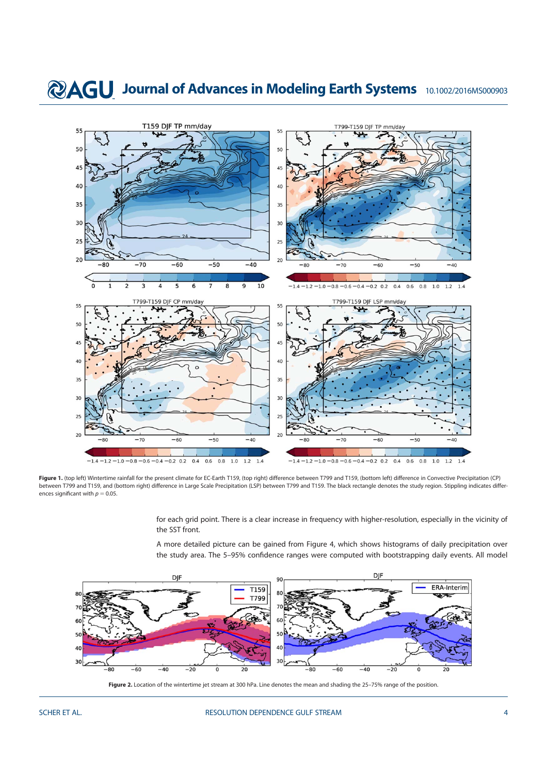

Figure 1. (top left) Wintertime rainfall for the present climate for EC-Earth T159, (top right) difference between T799 and T159, (bottom left) difference in Convective Precipitation (CP) between T799 and T159, and (bottom right) difference in Large Scale Precipitation (LSP) between T799 and T159. The black rectangle denotes the study region. Stippling indicates differences significant with  $p = 0.05$ .

for each grid point. There is a clear increase in frequency with higher-resolution, especially in the vicinity of the SST front.

A more detailed picture can be gained from Figure 4, which shows histograms of daily precipitation over the study area. The 5–95% confidence ranges were computed with bootstrapping daily events. All model



Figure 2. Location of the wintertime jet stream at 300 hPa. Line denotes the mean and shading the 25-75% range of the position.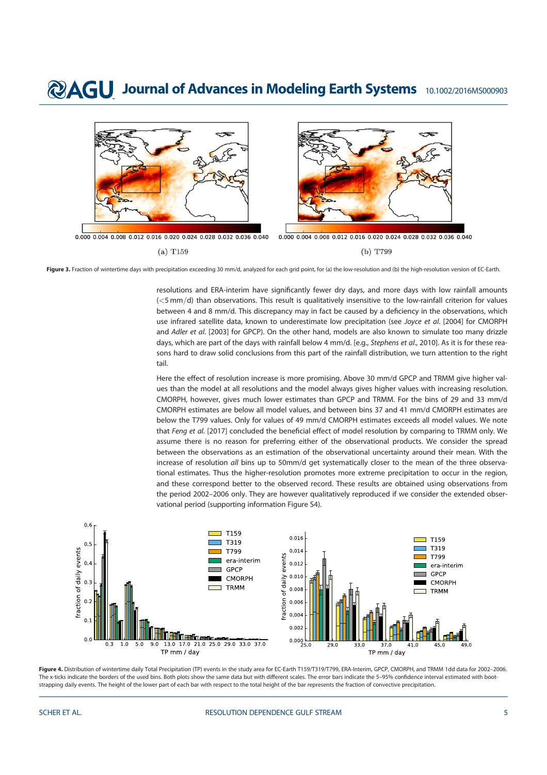

Figure 3. Fraction of wintertime days with precipitation exceeding 30 mm/d, analyzed for each grid point, for (a) the low-resolution and (b) the high-resolution version of EC-Earth.

resolutions and ERA-interim have significantly fewer dry days, and more days with low rainfall amounts  $(<$ 5 mm/d) than observations. This result is qualitatively insensitive to the low-rainfall criterion for values between 4 and 8 mm/d. This discrepancy may in fact be caused by a deficiency in the observations, which use infrared satellite data, known to underestimate low precipitation (see Joyce et al. [2004] for CMORPH and Adler et al. [2003] for GPCP). On the other hand, models are also known to simulate too many drizzle days, which are part of the days with rainfall below 4 mm/d. [e.g., Stephens et al., 2010]. As it is for these reasons hard to draw solid conclusions from this part of the rainfall distribution, we turn attention to the right tail.

Here the effect of resolution increase is more promising. Above 30 mm/d GPCP and TRMM give higher values than the model at all resolutions and the model always gives higher values with increasing resolution. CMORPH, however, gives much lower estimates than GPCP and TRMM. For the bins of 29 and 33 mm/d CMORPH estimates are below all model values, and between bins 37 and 41 mm/d CMORPH estimates are below the T799 values. Only for values of 49 mm/d CMORPH estimates exceeds all model values. We note that Feng et al. [2017] concluded the beneficial effect of model resolution by comparing to TRMM only. We assume there is no reason for preferring either of the observational products. We consider the spread between the observations as an estimation of the observational uncertainty around their mean. With the increase of resolution all bins up to 50mm/d get systematically closer to the mean of the three observational estimates. Thus the higher-resolution promotes more extreme precipitation to occur in the region, and these correspond better to the observed record. These results are obtained using observations from the period 2002–2006 only. They are however qualitatively reproduced if we consider the extended observational period (supporting information Figure S4).



Figure 4. Distribution of wintertime daily Total Precipitation (TP) events in the study area for EC-Earth T159/T319/T799, ERA-Interim, GPCP, CMORPH, and TRMM 1dd data for 2002-2006. The x-ticks indicate the borders of the used bins. Both plots show the same data but with different scales. The error bars indicate the 5–95% confidence interval estimated with bootstrapping daily events. The height of the lower part of each bar with respect to the total height of the bar represents the fraction of convective precipitation.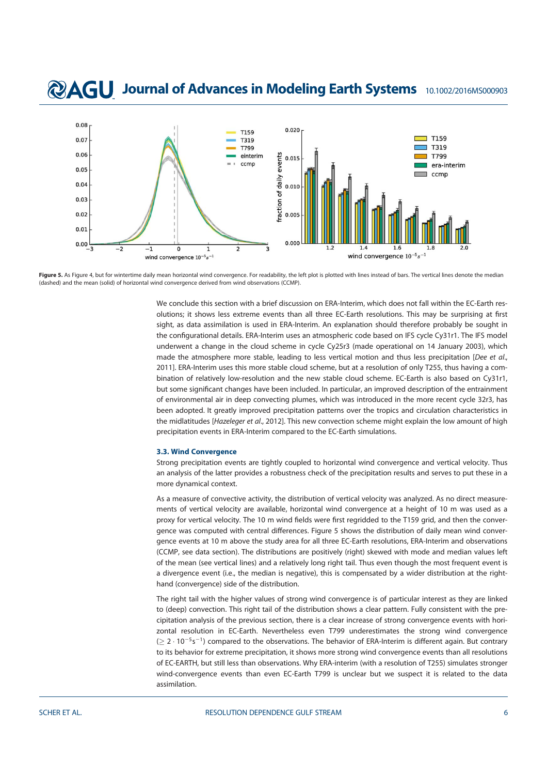

Figure 5. As Figure 4, but for wintertime daily mean horizontal wind convergence. For readability, the left plot is plotted with lines instead of bars. The vertical lines denote the median (dashed) and the mean (solid) of horizontal wind convergence derived from wind observations (CCMP).

We conclude this section with a brief discussion on ERA-Interim, which does not fall within the EC-Earth resolutions; it shows less extreme events than all three EC-Earth resolutions. This may be surprising at first sight, as data assimilation is used in ERA-Interim. An explanation should therefore probably be sought in the configurational details. ERA-Interim uses an atmospheric code based on IFS cycle Cy31r1. The IFS model underwent a change in the cloud scheme in cycle Cy25r3 (made operational on 14 January 2003), which made the atmosphere more stable, leading to less vertical motion and thus less precipitation [Dee et al., 2011]. ERA-Interim uses this more stable cloud scheme, but at a resolution of only T255, thus having a combination of relatively low-resolution and the new stable cloud scheme. EC-Earth is also based on Cy31r1, but some significant changes have been included. In particular, an improved description of the entrainment of environmental air in deep convecting plumes, which was introduced in the more recent cycle 32r3, has been adopted. It greatly improved precipitation patterns over the tropics and circulation characteristics in the midlatitudes [Hazeleger et al., 2012]. This new convection scheme might explain the low amount of high precipitation events in ERA-Interim compared to the EC-Earth simulations.

#### 3.3. Wind Convergence

Strong precipitation events are tightly coupled to horizontal wind convergence and vertical velocity. Thus an analysis of the latter provides a robustness check of the precipitation results and serves to put these in a more dynamical context.

As a measure of convective activity, the distribution of vertical velocity was analyzed. As no direct measurements of vertical velocity are available, horizontal wind convergence at a height of 10 m was used as a proxy for vertical velocity. The 10 m wind fields were first regridded to the T159 grid, and then the convergence was computed with central differences. Figure 5 shows the distribution of daily mean wind convergence events at 10 m above the study area for all three EC-Earth resolutions, ERA-Interim and observations (CCMP, see data section). The distributions are positively (right) skewed with mode and median values left of the mean (see vertical lines) and a relatively long right tail. Thus even though the most frequent event is a divergence event (i.e., the median is negative), this is compensated by a wider distribution at the righthand (convergence) side of the distribution.

The right tail with the higher values of strong wind convergence is of particular interest as they are linked to (deep) convection. This right tail of the distribution shows a clear pattern. Fully consistent with the precipitation analysis of the previous section, there is a clear increase of strong convergence events with horizontal resolution in EC-Earth. Nevertheless even T799 underestimates the strong wind convergence  $( \geq 2 \cdot 10^{-5} \text{s}^{-1})$  compared to the observations. The behavior of ERA-Interim is different again. But contrary to its behavior for extreme precipitation, it shows more strong wind convergence events than all resolutions of EC-EARTH, but still less than observations. Why ERA-interim (with a resolution of T255) simulates stronger wind-convergence events than even EC-Earth T799 is unclear but we suspect it is related to the data assimilation.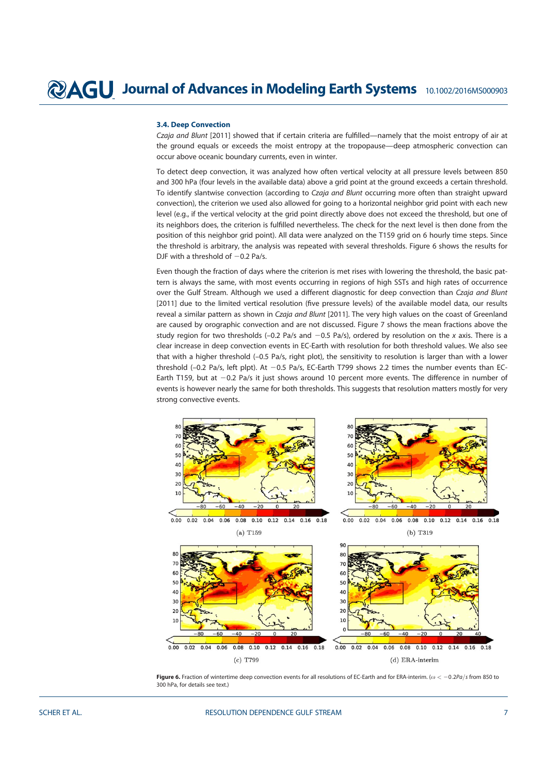#### 3.4. Deep Convection

Czaja and Blunt [2011] showed that if certain criteria are fulfilled—namely that the moist entropy of air at the ground equals or exceeds the moist entropy at the tropopause—deep atmospheric convection can occur above oceanic boundary currents, even in winter.

To detect deep convection, it was analyzed how often vertical velocity at all pressure levels between 850 and 300 hPa (four levels in the available data) above a grid point at the ground exceeds a certain threshold. To identify slantwise convection (according to Czaja and Blunt occurring more often than straight upward convection), the criterion we used also allowed for going to a horizontal neighbor grid point with each new level (e.g., if the vertical velocity at the grid point directly above does not exceed the threshold, but one of its neighbors does, the criterion is fulfilled nevertheless. The check for the next level is then done from the position of this neighbor grid point). All data were analyzed on the T159 grid on 6 hourly time steps. Since the threshold is arbitrary, the analysis was repeated with several thresholds. Figure 6 shows the results for DJF with a threshold of  $-0.2$  Pa/s.

Even though the fraction of days where the criterion is met rises with lowering the threshold, the basic pattern is always the same, with most events occurring in regions of high SSTs and high rates of occurrence over the Gulf Stream. Although we used a different diagnostic for deep convection than Czaja and Blunt [2011] due to the limited vertical resolution (five pressure levels) of the available model data, our results reveal a similar pattern as shown in Czaja and Blunt [2011]. The very high values on the coast of Greenland are caused by orographic convection and are not discussed. Figure 7 shows the mean fractions above the study region for two thresholds (-0.2 Pa/s and  $-0.5$  Pa/s), ordered by resolution on the x axis. There is a clear increase in deep convection events in EC-Earth with resolution for both threshold values. We also see that with a higher threshold (–0.5 Pa/s, right plot), the sensitivity to resolution is larger than with a lower threshold (-0.2 Pa/s, left plpt). At  $-0.5$  Pa/s, EC-Earth T799 shows 2.2 times the number events than EC-Earth T159, but at  $-0.2$  Pa/s it just shows around 10 percent more events. The difference in number of events is however nearly the same for both thresholds. This suggests that resolution matters mostly for very strong convective events.





0.00 0.02 0.04 0.06 0.08 0.10 0.12 0.14 0.16 0.18



0.00 0.02 0.04 0.06 0.08 0.10 0.12 0.14 0.16 0.18  $(b)$  T<sub>319</sub>



Figure 6. Fraction of wintertime deep convection events for all resolutions of EC-Earth and for ERA-interim. ( $\omega < -0.2Pa/s$  from 850 to 300 hPa, for details see text.)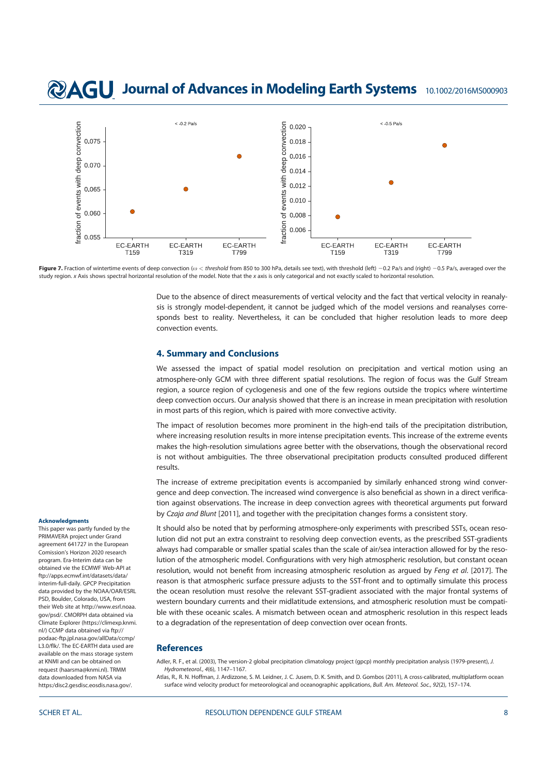



Figure 7. Fraction of wintertime events of deep convection ( $\omega <$  threshold from 850 to 300 hPa, details see text), with threshold (left) -0.2 Pa/s and (right) -0.5 Pa/s, averaged over the study region. x Axis shows spectral horizontal resolution of the model. Note that the x axis is only categorical and not exactly scaled to horizontal resolution.

Due to the absence of direct measurements of vertical velocity and the fact that vertical velocity in reanalysis is strongly model-dependent, it cannot be judged which of the model versions and reanalyses corresponds best to reality. Nevertheless, it can be concluded that higher resolution leads to more deep convection events.

#### 4. Summary and Conclusions

We assessed the impact of spatial model resolution on precipitation and vertical motion using an atmosphere-only GCM with three different spatial resolutions. The region of focus was the Gulf Stream region, a source region of cyclogenesis and one of the few regions outside the tropics where wintertime deep convection occurs. Our analysis showed that there is an increase in mean precipitation with resolution in most parts of this region, which is paired with more convective activity.

The impact of resolution becomes more prominent in the high-end tails of the precipitation distribution, where increasing resolution results in more intense precipitation events. This increase of the extreme events makes the high-resolution simulations agree better with the observations, though the observational record is not without ambiguities. The three observational precipitation products consulted produced different results.

The increase of extreme precipitation events is accompanied by similarly enhanced strong wind convergence and deep convection. The increased wind convergence is also beneficial as shown in a direct verification against observations. The increase in deep convection agrees with theoretical arguments put forward

by Czaja and Blunt [2011], and together with the precipitation changes forms a consistent story. It should also be noted that by performing atmosphere-only experiments with prescribed SSTs, ocean resolution did not put an extra constraint to resolving deep convection events, as the prescribed SST-gradients always had comparable or smaller spatial scales than the scale of air/sea interaction allowed for by the resolution of the atmospheric model. Configurations with very high atmospheric resolution, but constant ocean resolution, would not benefit from increasing atmospheric resolution as argued by Feng et al. [2017]. The reason is that atmospheric surface pressure adjusts to the SST-front and to optimally simulate this process the ocean resolution must resolve the relevant SST-gradient associated with the major frontal systems of western boundary currents and their midlatitude extensions, and atmospheric resolution must be compati-

ble with these oceanic scales. A mismatch between ocean and atmospheric resolution in this respect leads

#### References

Adler, R. F., et al. (2003), The version-2 global precipitation climatology project (gpcp) monthly precipitation analysis (1979-present), J. Hydrometeorol., 4(6), 1147–1167.

Atlas, R., R. N. Hoffman, J. Ardizzone, S. M. Leidner, J. C. Jusem, D. K. Smith, and D. Gombos (2011), A cross-calibrated, multiplatform ocean surface wind velocity product for meteorological and oceanographic applications, Bull. Am. Meteorol. Soc., 92(2), 157–174.

#### Acknowledgments

This paper was partly funded by the PRIMAVERA project under Grand agreement 641727 in the European Comission's Horizon 2020 research program. Era-Interim data can be obtained vie the ECMWF Web-API at ftp://apps.ecmwf.int/datasets/data/ interim-full-daily. GPCP Precipitation data provided by the NOAA/OAR/ESRL PSD, Boulder, Colorado, USA, from their Web site at http://www.esrl.noaa. gov/psd/. CMORPH data obtained via Climate Explorer (https://climexp.knmi. nl/) CCMP data obtained via ftp:// podaac-ftp.jpl.nasa.gov/allData/ccmp/ L3.0/flk/. The EC-EARTH data used are available on the mass storage system at KNMI and can be obtained on request (haarsma@knmi.nl). TRMM data downloaded from NASA via https:/disc2.gesdisc.eosdis.nasa.gov/.

to a degradation of the representation of deep convection over ocean fronts.